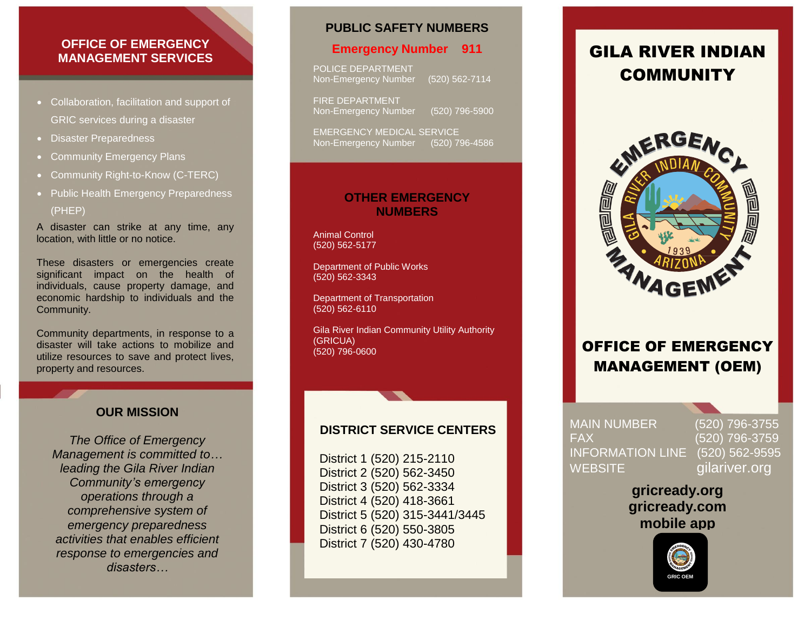### **OFFICE OF EMERGENCY MANAGEMENT SERVICES**

- Collaboration, facilitation and support of GRIC services during a disaster
- Disaster Preparedness
- Community Emergency Plans
- Community Right-to-Know (C-TERC)
- Public Health Emergency Preparedness (PHEP)

A disaster can strike at any time, any location, with little or no notice.

These disasters or emergencies create significant impact on the health of individuals, cause property damage, and economic hardship to individuals and the Community.

Community departments, in response to a disaster will take actions to mobilize and utilize resources to save and protect lives, property and resources.

### **OUR MISSION**

*The Office of Emergency Management is committed to… leading the Gila River Indian Community's emergency operations through a comprehensive system of emergency preparedness activities that enables efficient response to emergencies and disasters…*

### **PUBLIC SAFETY NUMBERS**

#### **Emergency Number 911**

POLICE DEPARTMENT Non-Emergency Number (520) 562-7114

FIRE DEPARTMENT Non-Emergency Number (520) 796-5900

EMERGENCY MEDICAL SERVICE Non-Emergency Number (520) 796-4586

### **OTHER EMERGENCY NUMBERS**

Animal Control (520) 562-5177

Department of Public Works (520) 562-3343

Department of Transportation (520) 562-6110

Gila River Indian Community Utility Authority (GRICUA) (520) 796-0600

## **DISTRICT SERVICE CENTERS**

District 1 (520) 215-2110 District 2 (520) 562-3450 District 3 (520) 562-3334 District 4 (520) 418-3661 District 5 (520) 315-3441/3445 District 6 (520) 550-3805 District 7 (520) 430-4780

## GILA RIVER INDIAN COMMUNITY



## OFFICE OF EMERGENCY MANAGEMENT (OEM)

FAX (520) 796-3759 INFORMATION LINE (520) 562-9595 **1 WEBSITE** 

**e**

MAIN NUMBER (520) 796-3755 **.** gilariver.org